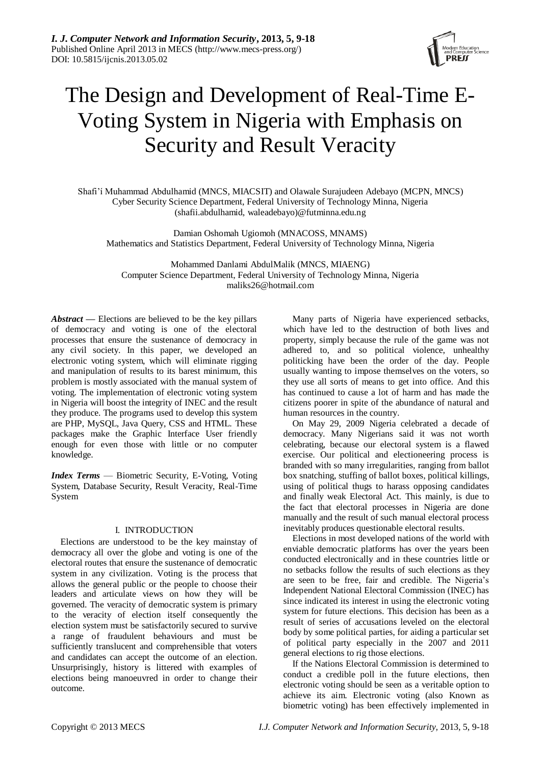

# The Design and Development of Real-Time E-Voting System in Nigeria with Emphasis on Security and Result Veracity

Shafi'í Muhammad Abdulhamid (MNCS, MIACSIT) and Olawale Surajudeen Adebayo (MCPN, MNCS) Cyber Security Science Department, Federal University of Technology Minna, Nigeria (shafii.abdulhamid, waleadebayo)@futminna.edu.ng

Damian Oshomah Ugiomoh (MNACOSS, MNAMS) Mathematics and Statistics Department, Federal University of Technology Minna, Nigeria

Mohammed Danlami AbdulMalik (MNCS, MIAENG) Computer Science Department, Federal University of Technology Minna, Nigeria maliks26@hotmail.com

*Abstract —* Elections are believed to be the key pillars of democracy and voting is one of the electoral processes that ensure the sustenance of democracy in any civil society. In this paper, we developed an electronic voting system, which will eliminate rigging and manipulation of results to its barest minimum, this problem is mostly associated with the manual system of voting. The implementation of electronic voting system in Nigeria will boost the integrity of INEC and the result they produce. The programs used to develop this system are PHP, MySQL, Java Query, CSS and HTML. These packages make the Graphic Interface User friendly enough for even those with little or no computer knowledge.

*Index Terms* — Biometric Security, E-Voting, Voting System, Database Security, Result Veracity, Real-Time System

## I. INTRODUCTION

Elections are understood to be the key mainstay of democracy all over the globe and voting is one of the electoral routes that ensure the sustenance of democratic system in any civilization. Voting is the process that allows the general public or the people to choose their leaders and articulate views on how they will be governed. The veracity of democratic system is primary to the veracity of election itself consequently the election system must be satisfactorily secured to survive a range of fraudulent behaviours and must be sufficiently translucent and comprehensible that voters and candidates can accept the outcome of an election. Unsurprisingly, history is littered with examples of elections being manoeuvred in order to change their outcome.

Many parts of Nigeria have experienced setbacks, which have led to the destruction of both lives and property, simply because the rule of the game was not adhered to, and so political violence, unhealthy politicking have been the order of the day. People usually wanting to impose themselves on the voters, so they use all sorts of means to get into office. And this has continued to cause a lot of harm and has made the citizens poorer in spite of the abundance of natural and human resources in the country.

On May 29, 2009 Nigeria celebrated a decade of democracy. Many Nigerians said it was not worth celebrating, because our electoral system is a flawed exercise. Our political and electioneering process is branded with so many irregularities, ranging from ballot box snatching, stuffing of ballot boxes, political killings, using of political thugs to harass opposing candidates and finally weak Electoral Act. This mainly, is due to the fact that electoral processes in Nigeria are done manually and the result of such manual electoral process inevitably produces questionable electoral results.

Elections in most developed nations of the world with enviable democratic platforms has over the years been conducted electronically and in these countries little or no setbacks follow the results of such elections as they are seen to be free, fair and credible. The Nigeria's Independent National Electoral Commission (INEC) has since indicated its interest in using the electronic voting system for future elections. This decision has been as a result of series of accusations leveled on the electoral body by some political parties, for aiding a particular set of political party especially in the 2007 and 2011 general elections to rig those elections.

If the Nations Electoral Commission is determined to conduct a credible poll in the future elections, then electronic voting should be seen as a veritable option to achieve its aim. Electronic voting (also Known as biometric voting) has been effectively implemented in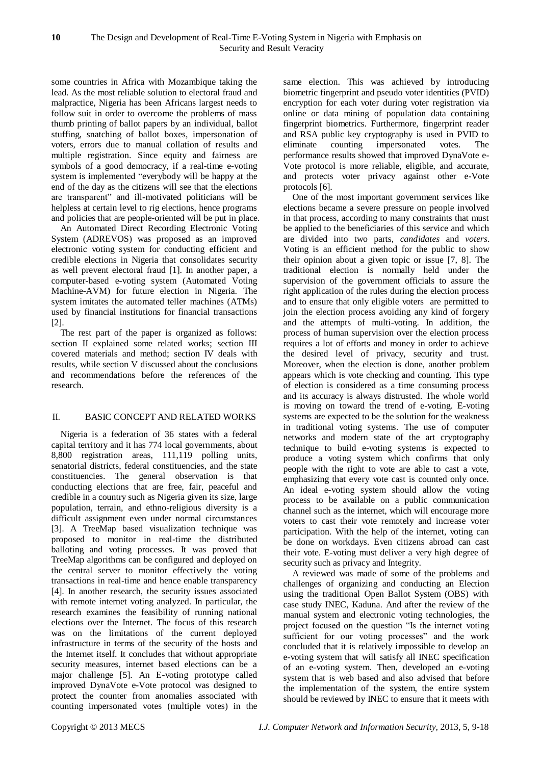some countries in Africa with Mozambique taking the lead. As the most reliable solution to electoral fraud and malpractice, Nigeria has been Africans largest needs to follow suit in order to overcome the problems of mass thumb printing of ballot papers by an individual, ballot stuffing, snatching of ballot boxes, impersonation of voters, errors due to manual collation of results and multiple registration. Since equity and fairness are symbols of a good democracy, if a real-time e-voting system is implemented "everybody will be happy at the end of the day as the citizens will see that the elections are transparent" and ill-motivated politicians will be helpless at certain level to rig elections, hence programs and policies that are people-oriented will be put in place.

An Automated Direct Recording Electronic Voting System (ADREVOS) was proposed as an improved electronic voting system for conducting efficient and credible elections in Nigeria that consolidates security as well prevent electoral fraud [1]. In another paper, a computer-based e-voting system (Automated Voting Machine-AVM) for future election in Nigeria. The system imitates the automated teller machines (ATMs) used by financial institutions for financial transactions [2].

The rest part of the paper is organized as follows: section II explained some related works; section III covered materials and method; section IV deals with results, while section V discussed about the conclusions and recommendations before the references of the research.

## II. BASIC CONCEPT AND RELATED WORKS

Nigeria is a federation of 36 states with a federal capital territory and it has 774 local governments, about 8,800 registration areas, 111,119 polling units, senatorial districts, federal constituencies, and the state constituencies. The general observation is that conducting elections that are free, fair, peaceful and credible in a country such as Nigeria given its size, large population, terrain, and ethno-religious diversity is a difficult assignment even under normal circumstances [3]. A TreeMap based visualization technique was proposed to monitor in real-time the distributed balloting and voting processes. It was proved that TreeMap algorithms can be configured and deployed on the central server to monitor effectively the voting transactions in real-time and hence enable transparency [4]. In another research, the security issues associated with remote internet voting analyzed. In particular, the research examines the feasibility of running national elections over the Internet. The focus of this research was on the limitations of the current deployed infrastructure in terms of the security of the hosts and the Internet itself. It concludes that without appropriate security measures, internet based elections can be a major challenge [5]. An E-voting prototype called improved DynaVote e-Vote protocol was designed to protect the counter from anomalies associated with counting impersonated votes (multiple votes) in the same election. This was achieved by introducing biometric fingerprint and pseudo voter identities (PVID) encryption for each voter during voter registration via online or data mining of population data containing fingerprint biometrics. Furthermore, fingerprint reader and RSA public key cryptography is used in PVID to eliminate counting impersonated votes. The performance results showed that improved DynaVote e-Vote protocol is more reliable, eligible, and accurate, and protects voter privacy against other e-Vote protocols [6].

One of the most important government services like elections became a severe pressure on people involved in that process, according to many constraints that must be applied to the beneficiaries of this service and which are divided into two parts, *candidates* and *voters*. Voting is an efficient method for the public to show their opinion about a given topic or issue [7, 8]. The traditional election is normally held under the supervision of the government officials to assure the right application of the rules during the election process and to ensure that only eligible voters are permitted to join the election process avoiding any kind of forgery and the attempts of multi-voting. In addition, the process of human supervision over the election process requires a lot of efforts and money in order to achieve the desired level of privacy, security and trust. Moreover, when the election is done, another problem appears which is vote checking and counting. This type of election is considered as a time consuming process and its accuracy is always distrusted. The whole world is moving on toward the trend of e-voting. E-voting systems are expected to be the solution for the weakness in traditional voting systems. The use of computer networks and modern state of the art cryptography technique to build e-voting systems is expected to produce a voting system which confirms that only people with the right to vote are able to cast a vote, emphasizing that every vote cast is counted only once. An ideal e-voting system should allow the voting process to be available on a public communication channel such as the internet, which will encourage more voters to cast their vote remotely and increase voter participation. With the help of the internet, voting can be done on workdays. Even citizens abroad can cast their vote. E-voting must deliver a very high degree of security such as privacy and Integrity.

A reviewed was made of some of the problems and challenges of organizing and conducting an Election using the traditional Open Ballot System (OBS) with case study INEC, Kaduna. And after the review of the manual system and electronic voting technologies, the project focused on the question "Is the internet voting sufficient for our voting processes" and the work concluded that it is relatively impossible to develop an e-voting system that will satisfy all INEC specification of an e-voting system. Then, developed an e-voting system that is web based and also advised that before the implementation of the system, the entire system should be reviewed by INEC to ensure that it meets with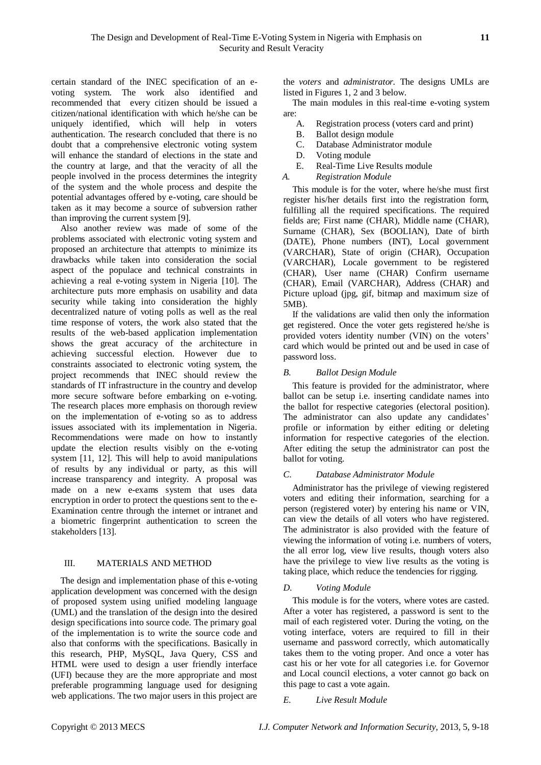certain standard of the INEC specification of an evoting system. The work also identified and recommended that every citizen should be issued a citizen/national identification with which he/she can be uniquely identified, which will help in voters authentication. The research concluded that there is no doubt that a comprehensive electronic voting system will enhance the standard of elections in the state and the country at large, and that the veracity of all the people involved in the process determines the integrity of the system and the whole process and despite the potential advantages offered by e-voting, care should be taken as it may become a source of subversion rather than improving the current system [9].

Also another review was made of some of the problems associated with electronic voting system and proposed an architecture that attempts to minimize its drawbacks while taken into consideration the social aspect of the populace and technical constraints in achieving a real e-voting system in Nigeria [10]. The architecture puts more emphasis on usability and data security while taking into consideration the highly decentralized nature of voting polls as well as the real time response of voters, the work also stated that the results of the web-based application implementation shows the great accuracy of the architecture in achieving successful election. However due to constraints associated to electronic voting system, the project recommends that INEC should review the standards of IT infrastructure in the country and develop more secure software before embarking on e-voting. The research places more emphasis on thorough review on the implementation of e-voting so as to address issues associated with its implementation in Nigeria. Recommendations were made on how to instantly update the election results visibly on the e-voting system [11, 12]. This will help to avoid manipulations of results by any individual or party, as this will increase transparency and integrity. A proposal was made on a new e-exams system that uses data encryption in order to protect the questions sent to the e-Examination centre through the internet or intranet and a biometric fingerprint authentication to screen the stakeholders [13].

# III. MATERIALS AND METHOD

The design and implementation phase of this e-voting application development was concerned with the design of proposed system using unified modeling language (UML) and the translation of the design into the desired design specifications into source code. The primary goal of the implementation is to write the source code and also that conforms with the specifications. Basically in this research, PHP, MySQL, Java Query, CSS and HTML were used to design a user friendly interface (UFI) because they are the more appropriate and most preferable programming language used for designing web applications. The two major users in this project are the *voters* and *administrator.* The designs UMLs are listed in Figures 1, 2 and 3 below.

The main modules in this real-time e-voting system are:

- A. Registration process (voters card and print)
- B. Ballot design module
- C. Database Administrator module
- D. Voting module<br>E. Real-Time Live
- Real-Time Live Results module
- *A. Registration Module*

This module is for the voter, where he/she must first register his/her details first into the registration form, fulfilling all the required specifications. The required fields are; First name (CHAR), Middle name (CHAR), Surname (CHAR), Sex (BOOLIAN), Date of birth (DATE), Phone numbers (INT), Local government (VARCHAR), State of origin (CHAR), Occupation (VARCHAR), Locale government to be registered (CHAR), User name (CHAR) Confirm username (CHAR), Email (VARCHAR), Address (CHAR) and Picture upload (jpg, gif, bitmap and maximum size of 5MB).

If the validations are valid then only the information get registered. Once the voter gets registered he/she is provided voters identity number (VIN) on the voters' card which would be printed out and be used in case of password loss.

## *B. Ballot Design Module*

This feature is provided for the administrator, where ballot can be setup i.e. inserting candidate names into the ballot for respective categories (electoral position). The administrator can also update any candidates' profile or information by either editing or deleting information for respective categories of the election. After editing the setup the administrator can post the ballot for voting.

## *C. Database Administrator Module*

Administrator has the privilege of viewing registered voters and editing their information, searching for a person (registered voter) by entering his name or VIN, can view the details of all voters who have registered. The administrator is also provided with the feature of viewing the information of voting i.e. numbers of voters, the all error log, view live results, though voters also have the privilege to view live results as the voting is taking place, which reduce the tendencies for rigging.

# *D. Voting Module*

This module is for the voters, where votes are casted. After a voter has registered, a password is sent to the mail of each registered voter. During the voting, on the voting interface, voters are required to fill in their username and password correctly, which automatically takes them to the voting proper. And once a voter has cast his or her vote for all categories i.e. for Governor and Local council elections, a voter cannot go back on this page to cast a vote again.

*E. Live Result Module*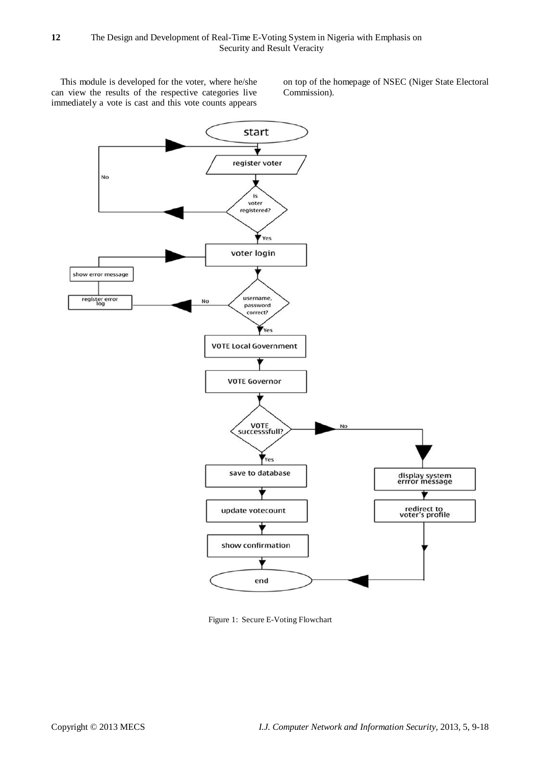This module is developed for the voter, where he/she can view the results of the respective categories live immediately a vote is cast and this vote counts appears on top of the homepage of NSEC (Niger State Electoral Commission).



Figure 1: Secure E-Voting Flowchart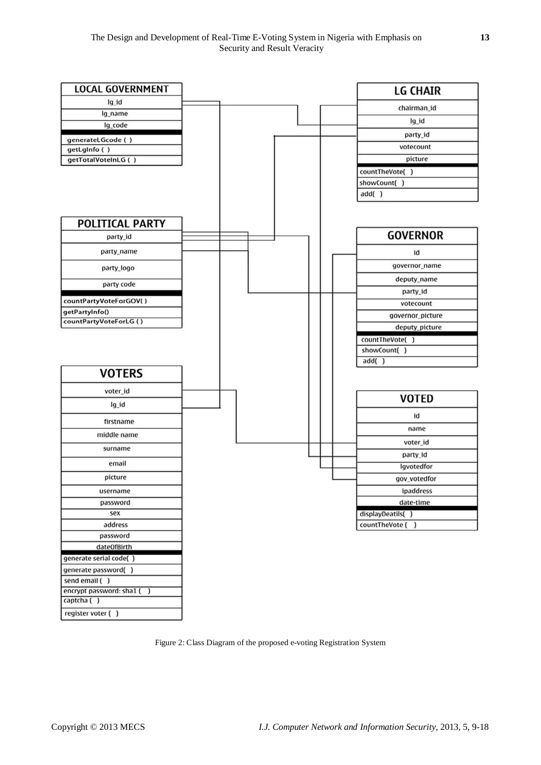

Figure 2: Class Diagram of the proposed e-voting Registration System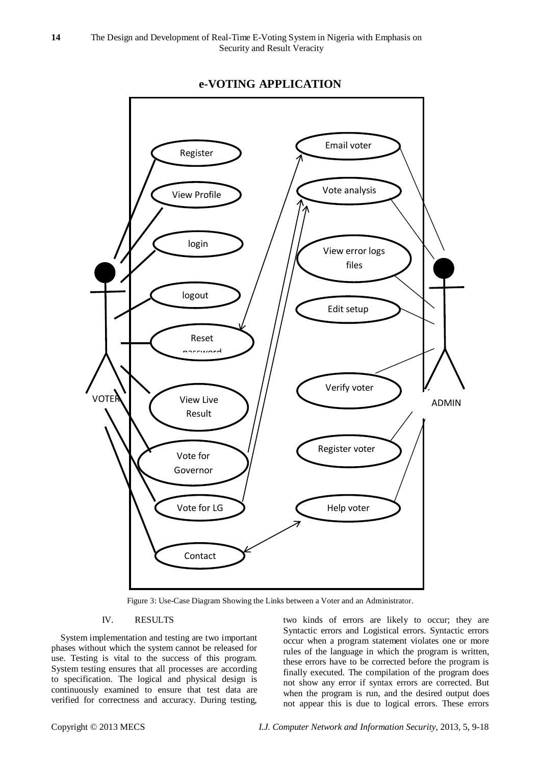

# **e-VOTING APPLICATION**

Figure 3: Use-Case Diagram Showing the Links between a Voter and an Administrator.

# IV. RESULTS

System implementation and testing are two important phases without which the system cannot be released for use. Testing is vital to the success of this program. System testing ensures that all processes are according to specification. The logical and physical design is continuously examined to ensure that test data are verified for correctness and accuracy. During testing,

two kinds of errors are likely to occur; they are Syntactic errors and Logistical errors. Syntactic errors occur when a program statement violates one or more rules of the language in which the program is written, these errors have to be corrected before the program is finally executed. The compilation of the program does not show any error if syntax errors are corrected. But when the program is run, and the desired output does not appear this is due to logical errors. These errors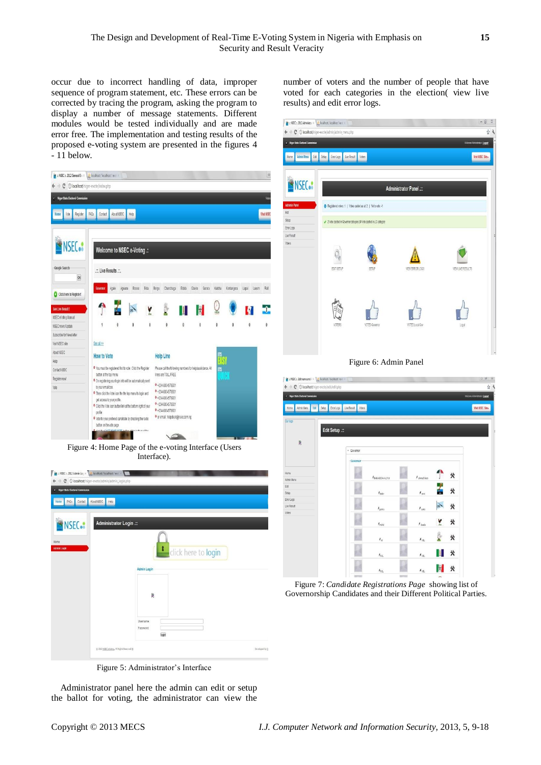$\frac{d\mathbf{r}}{dt} = \text{NSEC} = 2012 \text{ Admissible} \times \frac{d\mathbf{r}}{dt} \text{ localhos}$ 

occur due to incorrect handling of data, improper sequence of program statement, etc. These errors can be corrected by tracing the program, asking the program to display a number of message statements. Different modules would be tested individually and are made error free. The implementation and testing results of the proposed e-voting system are presented in the figures 4 - 11 below.

| # = NSEC = 2012 General Ele x   A localhost / localhost / evol x   |                                                                                                            |                     |                                                            |       |                     |        |   |                             | $\Box$         |
|--------------------------------------------------------------------|------------------------------------------------------------------------------------------------------------|---------------------|------------------------------------------------------------|-------|---------------------|--------|---|-----------------------------|----------------|
| $\rightarrow$ $\mathbf{C}$ $\circ$ localhost/niger-evote/index.php |                                                                                                            |                     |                                                            |       |                     |        |   |                             |                |
| ( Niger State Electoral Commission                                 |                                                                                                            |                     |                                                            |       |                     |        |   |                             | Vde            |
| Vote<br>Register<br>Home                                           | About NSEC<br>FAQs<br>Contact                                                                              | Help                |                                                            |       |                     |        |   |                             | Visit NSEC     |
|                                                                    |                                                                                                            |                     |                                                            |       |                     |        |   |                             |                |
| <b>NSEC.</b>                                                       | Welcome to NSEC e-Voting .:                                                                                |                     |                                                            |       |                     |        |   |                             |                |
| Google Search<br>OK                                                | Live Results                                                                                               |                     |                                                            |       |                     |        |   |                             |                |
| Click here to Register!                                            | <b>Sovernor</b><br>Адаје<br>Agwara                                                                         | Bida Borgu<br>Bosso | Chanchaga                                                  | Edata | Gbako<br>Gurara     | Katcha |   | Kontangora Lapai Laium Rafi |                |
| See Live Result!                                                   |                                                                                                            |                     |                                                            |       |                     |        |   |                             |                |
| NSEC eVoting Manual<br>NSEC news Update                            | 1<br>Ö                                                                                                     | 0                   | $\theta$                                                   | O     | O                   | 0      | 0 | 0                           | Ö              |
| Subscribe for Newsletter                                           |                                                                                                            |                     |                                                            |       |                     |        |   |                             |                |
| Visit NSEC site<br>About NSEC                                      | See all >><br><b>How to Vote</b>                                                                           |                     | <b>Help Line</b>                                           |       |                     |        |   |                             |                |
| Help<br>Contact NSEC                                               | O You must be registered first to vote : Click the Register                                                |                     | Please call the following numbers for helplassistance. All |       |                     | ΠS     |   |                             |                |
| Register now!                                                      | button at the top menu<br>lines are TOLL FREE<br>On registering your login info will be automatically sent |                     |                                                            |       |                     |        |   |                             |                |
| Vote                                                               | to your email box.<br>Then click the Vote icon the the top menu to login and                               |                     | 0 +234-8034578901<br>0 +234-8034578901                     |       |                     |        |   |                             |                |
|                                                                    | get access to your profile.<br>O Click the Vote icon buttonlink at the bottom right of your                |                     | 0 +234-8034578901<br>0 +234-8034578901                     |       |                     |        |   |                             |                |
|                                                                    | profile<br>· Vote for your prefered candidate by checking the radio                                        |                     | 0 +234-8034578901<br>O or email: helpdesk@nsec.com.ng      |       |                     |        |   |                             |                |
|                                                                    | button on the vote page                                                                                    | olderen relikan     |                                                            |       |                     |        |   |                             |                |
|                                                                    |                                                                                                            |                     |                                                            |       |                     |        |   |                             |                |
|                                                                    | Figure 4: Home Page of the e-voting Interface (Users                                                       |                     |                                                            |       |                     |        |   |                             |                |
|                                                                    |                                                                                                            |                     | Interface).                                                |       |                     |        |   |                             |                |
|                                                                    | at MSEC :: 2012 Admin Leg x 4 Incalibrat / localhost / ever. x                                             |                     |                                                            |       |                     |        |   |                             |                |
| ( Niger State Electoral Commis                                     | ← → C © localhost/niger-evote/admin/admin_login.php                                                        |                     |                                                            |       |                     |        |   |                             |                |
| Home                                                               | FAGs Contact About NSEC Help                                                                               |                     |                                                            |       |                     |        |   |                             |                |
|                                                                    |                                                                                                            |                     |                                                            |       |                     |        |   |                             |                |
| <b>NSEC</b> <sup>®</sup>                                           | Administrator Login .::                                                                                    |                     |                                                            |       |                     |        |   |                             |                |
|                                                                    |                                                                                                            |                     |                                                            |       |                     |        |   |                             |                |
| Home<br>Admin Login                                                |                                                                                                            |                     |                                                            |       |                     |        |   |                             |                |
|                                                                    |                                                                                                            |                     |                                                            |       | click here to login |        |   |                             |                |
|                                                                    |                                                                                                            | <b>Admin Login</b>  |                                                            |       |                     |        |   |                             |                |
|                                                                    |                                                                                                            |                     |                                                            |       |                     |        |   |                             |                |
|                                                                    |                                                                                                            |                     | ß                                                          |       |                     |        |   |                             |                |
|                                                                    |                                                                                                            |                     |                                                            |       |                     |        |   |                             |                |
|                                                                    |                                                                                                            | Username:           |                                                            |       |                     |        |   |                             |                |
|                                                                    |                                                                                                            | Password:           | lagin                                                      |       |                     |        |   |                             |                |
|                                                                    |                                                                                                            |                     |                                                            |       |                     |        |   |                             |                |
|                                                                    | @ 2012 <u>NSEC eVoting</u> , All Rights Reserved @                                                         |                     |                                                            |       |                     |        |   |                             | Developed by Q |

number of voters and the number of people that have voted for each categories in the election( view live results) and edit error logs.



Figure 6: Admin Panel



Figure 7: *Candidate Registrations Page* showing list of Governorship Candidates and their Different Political Parties.

Figure 5: Administrator's Interface

Administrator panel here the admin can edit or setup the ballot for voting, the administrator can view the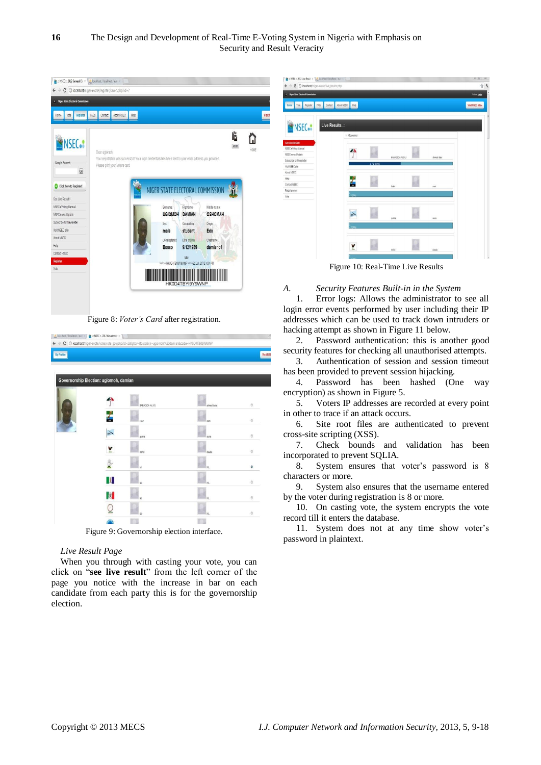

Figure 8: *Voter's Card* after registration.

| localhost / localhost / evol X / et a NSEC a. 2012 Governors) X |                                        |                                                                                                           |             | Ģ                |
|-----------------------------------------------------------------|----------------------------------------|-----------------------------------------------------------------------------------------------------------|-------------|------------------|
|                                                                 |                                        | ← → C © localhost/niger-evote/vote/vote_gov.php?id=2&lgtov=Bosso&vn=ugiomoh,%20damian&code=HK0D4TBYBY9WNP |             |                  |
| My Profile                                                      |                                        |                                                                                                           |             | <b>Visit NSE</b> |
|                                                                 |                                        |                                                                                                           |             |                  |
|                                                                 | Governorship Election: ugiomoh, damian |                                                                                                           |             |                  |
|                                                                 |                                        | BABAGDA ALIYU                                                                                             | ahmed ibeto | $\circ$          |
|                                                                 |                                        | kabir                                                                                                     | sani        | $\circ$          |
|                                                                 | CPC <sup>V</sup>                       | gunna                                                                                                     | auta        | O                |
|                                                                 | ۲                                      | mond                                                                                                      | dauda       | $\circ$          |
|                                                                 |                                        | ně                                                                                                        | NL          | ٥                |
|                                                                 | Ш                                      | NL                                                                                                        | NL          | $\theta$         |
|                                                                 | $\mathbb{B}$                           | NL                                                                                                        | NL          | $\circ$          |
|                                                                 |                                        | NK.                                                                                                       | NL          | $\theta$         |
|                                                                 | 礟                                      |                                                                                                           |             |                  |

Figure 9: Governorship election interface.

## *Live Result Page*

When you through with casting your vote, you can click on "see live result" from the left corner of the page you notice with the increase in bar on each candidate from each party this is for the governorship election.

login error events performed by user including their IP addresses which can be used to track down intruders or hacking attempt as shown in Figure 11 below.

2. Password authentication: this is another good security features for checking all unauthorised attempts.

3. Authentication of session and session timeout has been provided to prevent session hijacking.

4. Password has been hashed (One way encryption) as shown in Figure 5.

5. Voters IP addresses are recorded at every point in other to trace if an attack occurs.

6. Site root files are authenticated to prevent cross-site scripting (XSS).

7. Check bounds and validation has been incorporated to prevent SQLIA.

8. System ensures that voter's password is 8 characters or more.

9. System also ensures that the username entered by the voter during registration is 8 or more.

10. On casting vote, the system encrypts the vote record till it enters the database.

11. System does not at any time show voter's password in plaintext.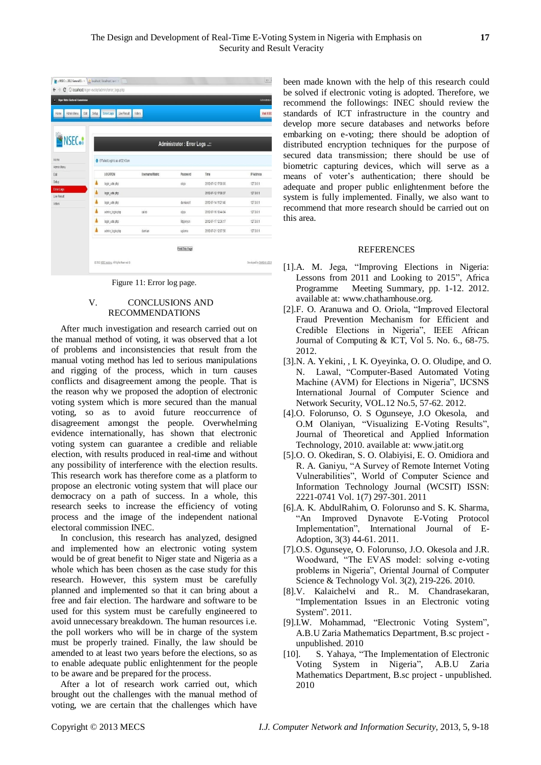| ( Niger State Electoral Commission<br>Admin Menu<br>Edit<br>Home | Live Result<br><b>Error Logs</b><br>Setup | Votens          |                             |                     | Administrator<br><b>Visit NSEC</b> |
|------------------------------------------------------------------|-------------------------------------------|-----------------|-----------------------------|---------------------|------------------------------------|
| <b>NSEC.</b>                                                     |                                           |                 | Administrator: Error Logs : |                     |                                    |
| Home                                                             | 6 6 Failed Login's as at 02.43am          |                 |                             |                     |                                    |
| Admin Menu<br>Edit                                               | LOCATION                                  | Username/Matric | Password                    | Time                | IP Address                         |
| Setup                                                            |                                           |                 |                             |                     |                                    |
| <b>Error Logs</b>                                                | login_vote.php                            |                 | olojo                       | 2012-07-12 17:08:03 | 127.0.0.1                          |
| Live Result                                                      | login_vote.php                            |                 |                             | 2012-07-12 17:08:37 | 127,0,0.1                          |
| Voters                                                           | ٨<br>login_vote.php                       |                 | damiano1                    | 2012-07-14 11:21:40 | 127, 0.0.1                         |
|                                                                  | Â<br>admin login.php                      | caleb           | ojojo                       | 2012-07-16 18:44:04 | 127.0.0.1                          |
|                                                                  | Â<br>login_vote.php                       |                 | 9tpjonysn                   | 2012-07-17 12:36:17 | 127,0.0.1                          |
|                                                                  | admin login.php                           | damian          | ugiomo                      | 2012-07-21 12:07:56 | 127.0.0.1                          |
|                                                                  |                                           |                 | Print This Page             |                     |                                    |
|                                                                  |                                           |                 |                             |                     |                                    |

Figure 11: Error log page.

# V. CONCLUSIONS AND RECOMMENDATIONS

After much investigation and research carried out on the manual method of voting, it was observed that a lot of problems and inconsistencies that result from the manual voting method has led to serious manipulations and rigging of the process, which in turn causes conflicts and disagreement among the people. That is the reason why we proposed the adoption of electronic voting system which is more secured than the manual voting, so as to avoid future reoccurrence of disagreement amongst the people. Overwhelming evidence internationally, has shown that electronic voting system can guarantee a credible and reliable election, with results produced in real-time and without any possibility of interference with the election results. This research work has therefore come as a platform to propose an electronic voting system that will place our democracy on a path of success. In a whole, this research seeks to increase the efficiency of voting process and the image of the independent national electoral commission INEC.

In conclusion, this research has analyzed, designed and implemented how an electronic voting system would be of great benefit to Niger state and Nigeria as a whole which has been chosen as the case study for this research. However, this system must be carefully planned and implemented so that it can bring about a free and fair election. The hardware and software to be used for this system must be carefully engineered to avoid unnecessary breakdown. The human resources i.e. the poll workers who will be in charge of the system must be properly trained. Finally, the law should be amended to at least two years before the elections, so as to enable adequate public enlightenment for the people to be aware and be prepared for the process.

After a lot of research work carried out, which brought out the challenges with the manual method of voting, we are certain that the challenges which have been made known with the help of this research could be solved if electronic voting is adopted. Therefore, we recommend the followings: INEC should review the standards of ICT infrastructure in the country and develop more secure databases and networks before embarking on e-voting; there should be adoption of distributed encryption techniques for the purpose of secured data transmission; there should be use of biometric capturing devices, which will serve as a means of voter's authentication; there should be adequate and proper public enlightenment before the system is fully implemented. Finally, we also want to recommend that more research should be carried out on this area.

## REFERENCES

- [1].A. M. Jega, "Improving Elections in Nigeria: Lessons from 2011 and Looking to 2015", Africa Programme Meeting Summary, pp. 1-12. 2012. available at: www.chathamhouse.org.
- [2].F. O. Aranuwa and O. Oriola, "Improved Electoral Fraud Prevention Mechanism for Efficient and Credible Elections in Nigeria", IEEE African Journal of Computing & ICT, Vol 5. No. 6., 68-75. 2012.
- [3].N. A. Yekini, , I. K. Oyeyinka, O. O. Oludipe, and O. N. Lawal, "Computer-Based Automated Voting Machine (AVM) for Elections in Nigeria", IJCSNS International Journal of Computer Science and Network Security, VOL.12 No.5, 57-62. 2012.
- [4].O. Folorunso, O. S Ogunseye, J.O Okesola, and O.M Olaniyan, "Visualizing E-Voting Results", Journal of Theoretical and Applied Information Technology, 2010. available at: www.jatit.org
- [5].O. O. Okediran, S. O. Olabiyisi, E. O. Omidiora and R. A. Ganiyu, "A Survey of Remote Internet Voting Vulnerabilities", World of Computer Science and Information Technology Journal (WCSIT) ISSN: 2221-0741 Vol. 1(7) 297-301. 2011
- [6].A. K. AbdulRahim, O. Folorunso and S. K. Sharma, ―An Improved Dynavote E-Voting Protocol Implementation", International Journal of E-Adoption, 3(3) 44-61. 2011.
- [7].O.S. Ogunseye, O. Folorunso, J.O. Okesola and J.R. Woodward, "The EVAS model: solving e-voting problems in Nigeria", Oriental Journal of Computer Science & Technology Vol. 3(2), 219-226. 2010.
- [8].V. Kalaichelvi and R.. M. Chandrasekaran, "Implementation Issues in an Electronic voting System". 2011.
- [9].I.W. Mohammad, "Electronic Voting System". A.B.U Zaria Mathematics Department, B.sc project unpublished. 2010
- [10]. S. Yahaya, "The Implementation of Electronic Voting System in Nigeria", A.B.U Zaria Mathematics Department, B.sc project - unpublished. 2010